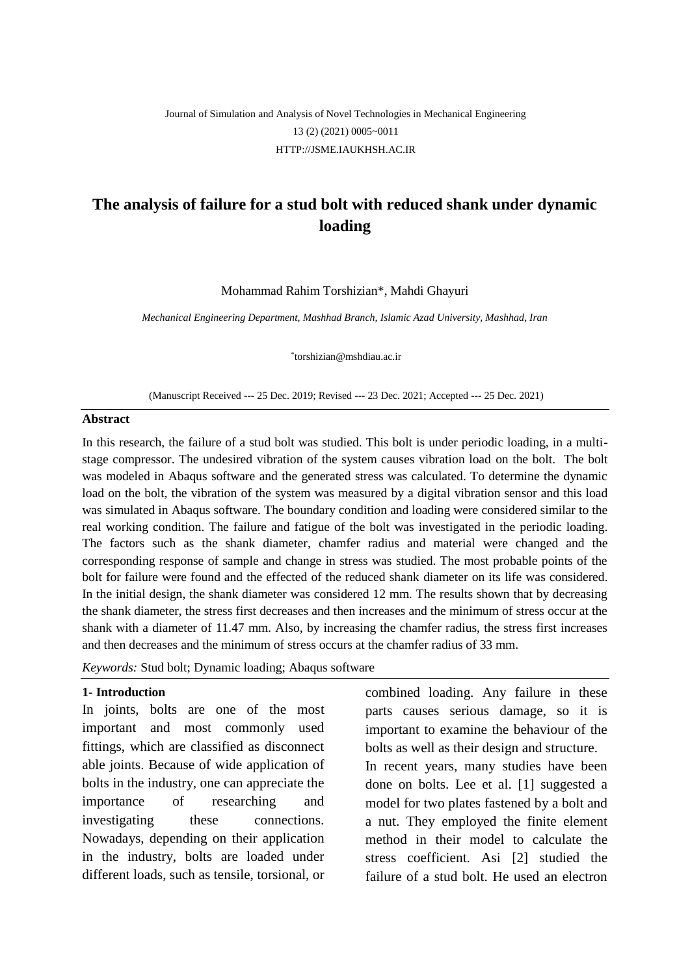# Journal of Simulation and Analysis of Novel Technologies in Mechanical Engineering 13 (2) (2021) 0005~0011 [HTTP://JSME.IAUKHSH.AC.IR](http://jsme.iaukhsh.ac.ir/)

# **The analysis of failure for a stud bolt with reduced shank under dynamic loading**

Mohammad Rahim Torshizian\*, Mahdi Ghayuri

*Mechanical Engineering Department, Mashhad Branch, Islamic Azad University, Mashhad, Iran*

\* [torshizian@mshdiau.ac.ir](mailto:torshizian@mshdiau.ac.ir)

(Manuscript Received --- 25 Dec. 2019; Revised --- 23 Dec. 2021; Accepted --- 25 Dec. 2021)

#### **Abstract**

In this research, the failure of a stud bolt was studied. This bolt is under periodic loading, in a multistage compressor. The undesired vibration of the system causes vibration load on the bolt. The bolt was modeled in Abaqus software and the generated stress was calculated. To determine the dynamic load on the bolt, the vibration of the system was measured by a digital vibration sensor and this load was simulated in Abaqus software. The boundary condition and loading were considered similar to the real working condition. The failure and fatigue of the bolt was investigated in the periodic loading. The factors such as the shank diameter, chamfer radius and material were changed and the corresponding response of sample and change in stress was studied. The most probable points of the bolt for failure were found and the effected of the reduced shank diameter on its life was considered. In the initial design, the shank diameter was considered 12 mm. The results shown that by decreasing the shank diameter, the stress first decreases and then increases and the minimum of stress occur at the shank with a diameter of 11.47 mm. Also, by increasing the chamfer radius, the stress first increases and then decreases and the minimum of stress occurs at the chamfer radius of 33 mm.

*Keywords:* Stud bolt; Dynamic loading; Abaqus software

#### **1- Introduction**

In joints, bolts are one of the most important and most commonly used fittings, which are classified as disconnect able joints. Because of wide application of bolts in the industry, one can appreciate the importance of researching and investigating these connections. Nowadays, depending on their application in the industry, bolts are loaded under different loads, such as tensile, torsional, or combined loading. Any failure in these parts causes serious damage, so it is important to examine the behaviour of the bolts as well as their design and structure. In recent years, many studies have been done on bolts. Lee et al. [1] suggested a model for two plates fastened by a bolt and a nut. They employed the finite element method in their model to calculate the stress coefficient. Asi [2] studied the failure of a stud bolt. He used an electron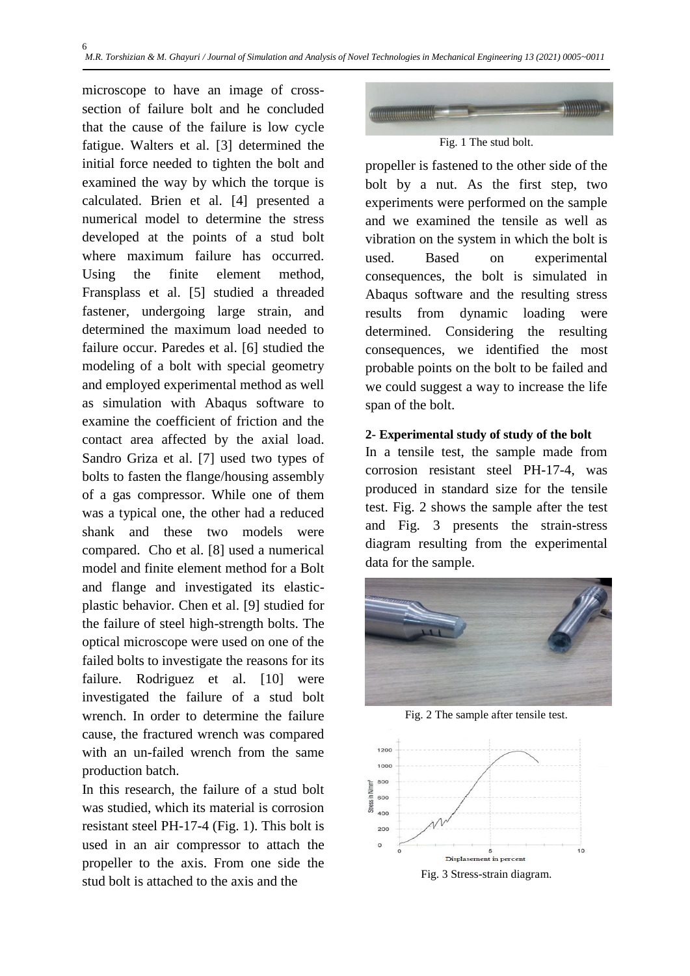microscope to have an image of crosssection of failure bolt and he concluded that the cause of the failure is low cycle fatigue. Walters et al. [3] determined the initial force needed to tighten the bolt and examined the way by which the torque is calculated. Brien et al. [4] presented a numerical model to determine the stress developed at the points of a stud bolt where maximum failure has occurred. Using the finite element method, Fransplass et al. [5] studied a threaded fastener, undergoing large strain, and determined the maximum load needed to failure occur. Paredes et al. [6] studied the modeling of a bolt with special geometry and employed experimental method as well as simulation with Abaqus software to examine the coefficient of friction and the contact area affected by the axial load. Sandro Griza et al. [7] used two types of bolts to fasten the flange/housing assembly of a gas compressor. While one of them was a typical one, the other had a reduced shank and these two models were compared. Cho et al. [8] used a numerical model and finite element method for a Bolt and flange and investigated its elasticplastic behavior. Chen et al. [9] studied for the failure of steel high-strength bolts. The optical microscope were used on one of the failed bolts to investigate the reasons for its failure. Rodriguez et al. [10] were investigated the failure of a stud bolt wrench. In order to determine the failure cause, the fractured wrench was compared with an un-failed wrench from the same production batch.

In this research, the failure of a stud bolt was studied, which its material is corrosion resistant steel PH-17-4 (Fig. 1). This bolt is used in an air compressor to attach the propeller to the axis. From one side the stud bolt is attached to the axis and the



Fig. 1 The stud bolt.

propeller is fastened to the other side of the bolt by a nut. As the first step, two experiments were performed on the sample and we examined the tensile as well as vibration on the system in which the bolt is used. Based on experimental consequences, the bolt is simulated in Abaqus software and the resulting stress results from dynamic loading were determined. Considering the resulting consequences, we identified the most probable points on the bolt to be failed and we could suggest a way to increase the life span of the bolt.

### **2- Experimental study of study of the bolt**

In a tensile test, the sample made from corrosion resistant steel PH-17-4, was produced in standard size for the tensile test. Fig. 2 shows the sample after the test and Fig. 3 presents the strain-stress diagram resulting from the experimental data for the sample.



Fig. 2 The sample after tensile test.

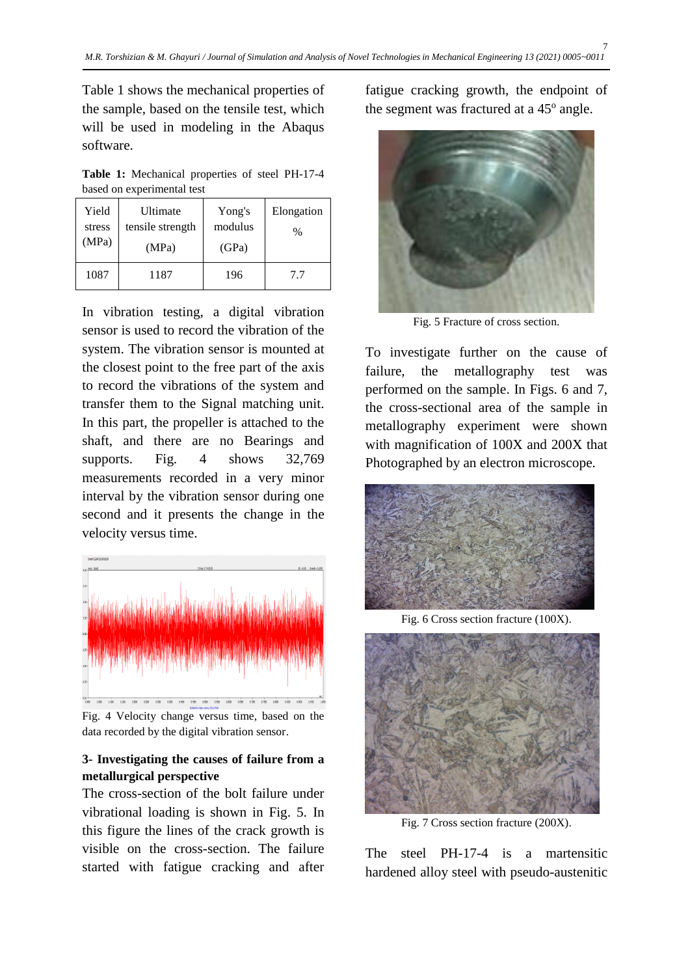Table 1 shows the mechanical properties of the sample, based on the tensile test, which will be used in modeling in the Abaqus software.

**Table 1:** Mechanical properties of steel PH-17-4 based on experimental test

| Yield<br>stress<br>(MPa) | Ultimate<br>tensile strength<br>(MPa) | Yong's<br>modulus<br>(GPa) | Elongation<br>$\%$ |
|--------------------------|---------------------------------------|----------------------------|--------------------|
| 1087                     | 1187                                  | 196                        | 77                 |

In vibration testing, a digital vibration sensor is used to record the vibration of the system. The vibration sensor is mounted at the closest point to the free part of the axis to record the vibrations of the system and transfer them to the Signal matching unit. In this part, the propeller is attached to the shaft, and there are no Bearings and supports. Fig. 4 shows 32,769 measurements recorded in a very minor interval by the vibration sensor during one second and it presents the change in the velocity versus time.



Fig. 4 Velocity change versus time, based on the data recorded by the digital vibration sensor.

### **3- Investigating the causes of failure from a metallurgical perspective**

The cross-section of the bolt failure under vibrational loading is shown in Fig. 5. In this figure the lines of the crack growth is visible on the cross-section. The failure started with fatigue cracking and after fatigue cracking growth, the endpoint of the segment was fractured at a 45° angle.



Fig. 5 Fracture of cross section.

To investigate further on the cause of failure, the metallography test was performed on the sample. In Figs. 6 and 7, the cross-sectional area of the sample in metallography experiment were shown with magnification of 100X and 200X that Photographed by an electron microscope.



Fig. 6 Cross section fracture (100X).



Fig. 7 Cross section fracture (200X).

The steel PH-17-4 is a martensitic hardened alloy steel with pseudo-austenitic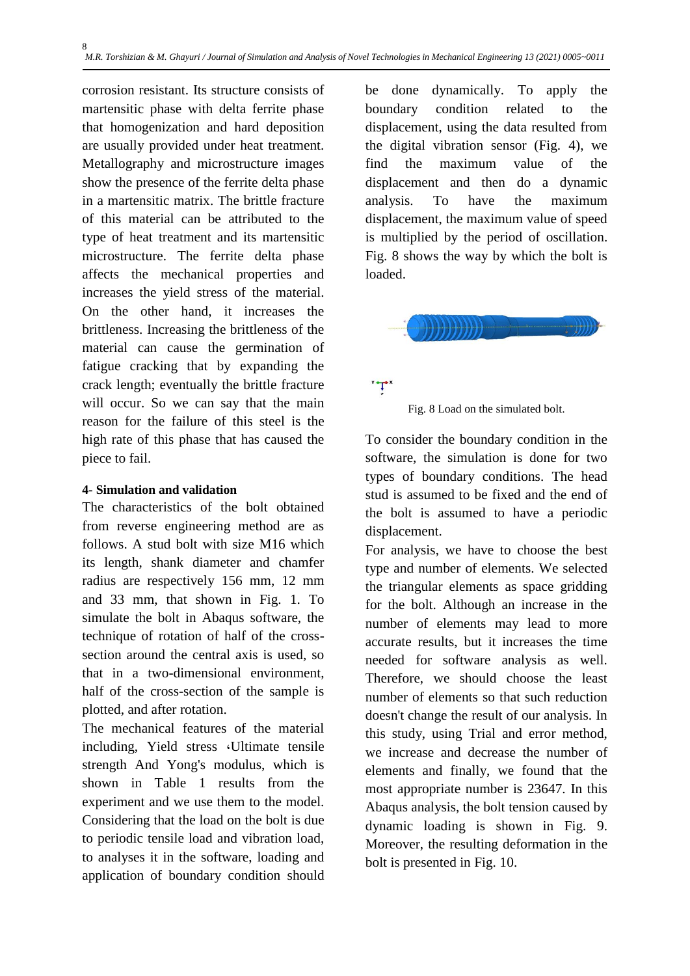corrosion resistant. Its structure consists of martensitic phase with delta ferrite phase that homogenization and hard deposition are usually provided under heat treatment. Metallography and microstructure images show the presence of the ferrite delta phase in a martensitic matrix. The brittle fracture of this material can be attributed to the type of heat treatment and its martensitic microstructure. The ferrite delta phase affects the mechanical properties and increases the yield stress of the material. On the other hand, it increases the brittleness. Increasing the brittleness of the material can cause the germination of fatigue cracking that by expanding the crack length; eventually the brittle fracture will occur. So we can say that the main reason for the failure of this steel is the high rate of this phase that has caused the piece to fail.

# **4- Simulation and validation**

The characteristics of the bolt obtained from reverse engineering method are as follows. A stud bolt with size M16 which its length, shank diameter and chamfer radius are respectively 156 mm, 12 mm and 33 mm, that shown in Fig. 1. To simulate the bolt in Abaqus software, the technique of rotation of half of the crosssection around the central axis is used, so that in a two-dimensional environment, half of the cross-section of the sample is plotted, and after rotation.

The mechanical features of the material including, Yield stress ،Ultimate tensile strength And Yong's modulus, which is shown in Table 1 results from the experiment and we use them to the model. Considering that the load on the bolt is due to periodic tensile load and vibration load, to analyses it in the software, loading and application of boundary condition should be done dynamically. To apply the boundary condition related to the displacement, using the data resulted from the digital vibration sensor (Fig. 4), we find the maximum value of the displacement and then do a dynamic analysis. To have the maximum displacement, the maximum value of speed is multiplied by the period of oscillation. Fig. 8 shows the way by which the bolt is loaded.



 $\mathbf{\tau}$ 

Fig. 8 Load on the simulated bolt.

To consider the boundary condition in the software, the simulation is done for two types of boundary conditions. The head stud is assumed to be fixed and the end of the bolt is assumed to have a periodic displacement.

For analysis, we have to choose the best type and number of elements. We selected the triangular elements as space gridding for the bolt. Although an increase in the number of elements may lead to more accurate results, but it increases the time needed for software analysis as well. Therefore, we should choose the least number of elements so that such reduction doesn't change the result of our analysis. In this study, using Trial and error method, we increase and decrease the number of elements and finally, we found that the most appropriate number is 23647. In this Abaqus analysis, the bolt tension caused by dynamic loading is shown in Fig. 9. Moreover, the resulting deformation in the bolt is presented in Fig. 10.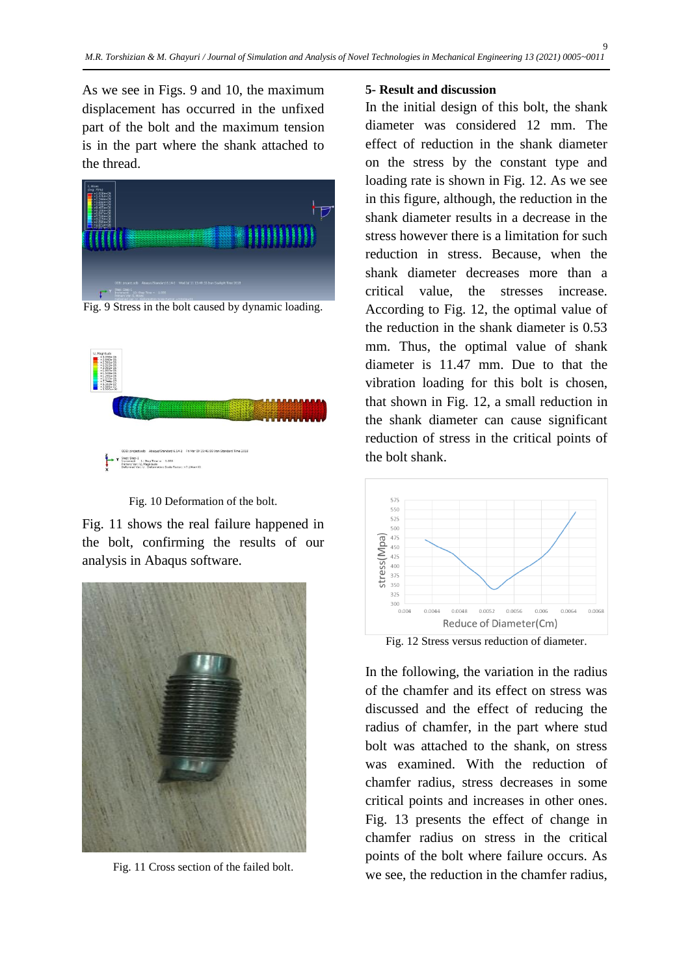As we see in Figs. 9 and 10, the maximum displacement has occurred in the unfixed part of the bolt and the maximum tension is in the part where the shank attached to the thread.



Fig. 9 Stress in the bolt caused by dynamic loading.



Fig. 10 Deformation of the bolt.

Fig. 11 shows the real failure happened in the bolt, confirming the results of our analysis in Abaqus software.



Fig. 11 Cross section of the failed bolt.

#### **5- Result and discussion**

In the initial design of this bolt, the shank diameter was considered 12 mm. The effect of reduction in the shank diameter on the stress by the constant type and loading rate is shown in Fig. 12. As we see in this figure, although, the reduction in the shank diameter results in a decrease in the stress however there is a limitation for such reduction in stress. Because, when the shank diameter decreases more than a critical value, the stresses increase. According to Fig. 12, the optimal value of the reduction in the shank diameter is 0.53 mm. Thus, the optimal value of shank diameter is 11.47 mm. Due to that the vibration loading for this bolt is chosen, that shown in Fig. 12, a small reduction in the shank diameter can cause significant reduction of stress in the critical points of the bolt shank.



Fig. 12 Stress versus reduction of diameter.

In the following, the variation in the radius of the chamfer and its effect on stress was discussed and the effect of reducing the radius of chamfer, in the part where stud bolt was attached to the shank, on stress was examined. With the reduction of chamfer radius, stress decreases in some critical points and increases in other ones. Fig. 13 presents the effect of change in chamfer radius on stress in the critical points of the bolt where failure occurs. As we see, the reduction in the chamfer radius,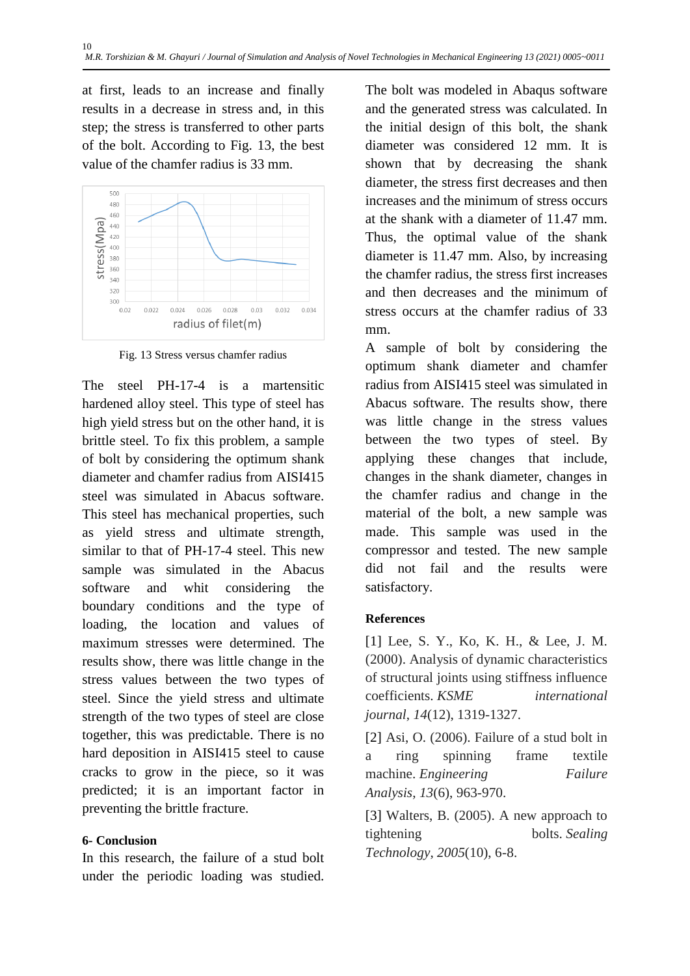at first, leads to an increase and finally results in a decrease in stress and, in this step; the stress is transferred to other parts of the bolt. According to Fig. 13, the best value of the chamfer radius is 33 mm.



Fig. 13 Stress versus chamfer radius

The steel PH-17-4 is a martensitic hardened alloy steel. This type of steel has high yield stress but on the other hand, it is brittle steel. To fix this problem, a sample of bolt by considering the optimum shank diameter and chamfer radius from AISI415 steel was simulated in Abacus software. This steel has mechanical properties, such as yield stress and ultimate strength, similar to that of PH-17-4 steel. This new sample was simulated in the Abacus software and whit considering the boundary conditions and the type of loading, the location and values of maximum stresses were determined. The results show, there was little change in the stress values between the two types of steel. Since the yield stress and ultimate strength of the two types of steel are close together, this was predictable. There is no hard deposition in AISI415 steel to cause cracks to grow in the piece, so it was predicted; it is an important factor in preventing the brittle fracture.

# **6- Conclusion**

In this research, the failure of a stud bolt under the periodic loading was studied.

The bolt was modeled in Abaqus software and the generated stress was calculated. In the initial design of this bolt, the shank diameter was considered 12 mm. It is shown that by decreasing the shank diameter, the stress first decreases and then increases and the minimum of stress occurs at the shank with a diameter of 11.47 mm. Thus, the optimal value of the shank diameter is 11.47 mm. Also, by increasing the chamfer radius, the stress first increases and then decreases and the minimum of stress occurs at the chamfer radius of 33 mm.

A sample of bolt by considering the optimum shank diameter and chamfer radius from AISI415 steel was simulated in Abacus software. The results show, there was little change in the stress values between the two types of steel. By applying these changes that include, changes in the shank diameter, changes in the chamfer radius and change in the material of the bolt, a new sample was made. This sample was used in the compressor and tested. The new sample did not fail and the results were satisfactory.

# **References**

[1] Lee, S. Y., Ko, K. H., & Lee, J. M. (2000). Analysis of dynamic characteristics of structural joints using stiffness influence coefficients. *KSME international journal*, *14*(12), 1319-1327.

[2] Asi, O. (2006). Failure of a stud bolt in a ring spinning frame textile machine. *Engineering Failure Analysis*, *13*(6), 963-970.

[3] Walters, B. (2005). A new approach to tightening bolts. *Sealing Technology*, *2005*(10), 6-8.